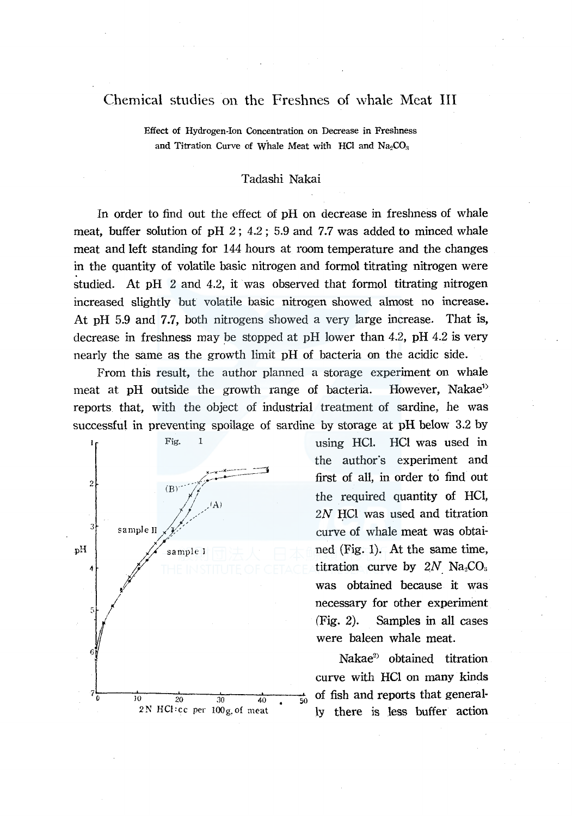# Chemical studies on the Freshnes of whale Meat III

Effect of Hydrogen-Ion Concentration on Decrease in Freshness and Titration Curve of Whale Meat with HCl and  $Na<sub>2</sub>CO<sub>3</sub>$ 

### Tadashi Nakai

In order to find out the effect of pH on decrease in freshness of whale meat, buffer solution of pH 2; 4.2; 5.9 and 7.7 was added to minced whale meat and left standing for 144 hours at room temperature and the changes in the quantity of volatile basic nitrogen and formal titrating nitrogen were studied. At pH 2 and 4.2, it was observed that formal titrating nitrogen increased slightly but volatile basic nitrogen showed almost no increase. At pH 5.9 and 7.7, both nitrogens showed a very large increase. That is, decrease in freshness may be stopped at pH lower than 4.2, pH 4.2 is very nearly the same as the growth limit pH of bacteria on the acidic side.

From this result, the author planned a storage experiment on whale meat at pH outside the growth range of bacteria. However, Nakae<sup>1</sup> reports that, with the object of industrial treatment of sardine, he was successful in preventing spoilage of sardine by storage at pH below 3.2 by



Fig. 1 using HCl. HCl was used in the author's experiment and first of all, in order to find out the required quantity of HCl, *2N* HCl was used and titration curve of whale meat was obtained (Fig. 1). At the same time, titration curve by  $2N$   $Na<sub>2</sub>CO<sub>3</sub>$ was obtained because it was necessary for other experiment (Fig. 2). Samples in all cases were baleen whale meat.

> Nakae<sup>2</sup> obtained titration curve with HCl on many kinds  $\frac{1}{50}$  of fish and reports that generally there is less buffer action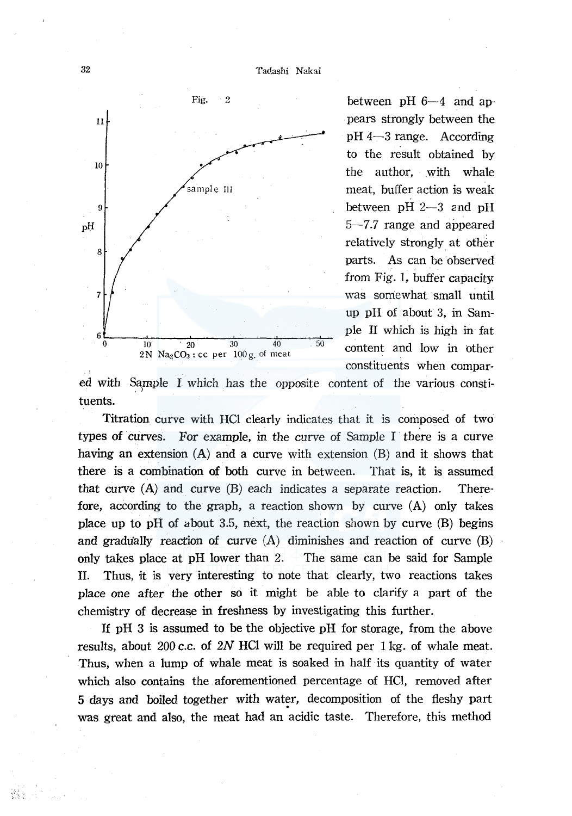Tadashi Nakai



between pH  $6-4$  and ap-. pears strongly between the pH 4-3 range. According to the result obtained by the author, with whale meat, buffer action is weak between  $pH$   $2-3$  and  $pH$ 5-7.7 range and appeared relatively strongly at other parts. As can be observed from Fig. 1, buffer capacity. was somewhat small until up pH of about 3, in Sample II which is high in fat content and low in other constituents when compar-

ed with Sample I which has the opposite content of the various constituents.

Titration curve with HCl clearly indicates that it is composed of two types of curves. For example, in the curve of Sample I there is a curve having an extension (A) and a curve with extension (B) and it shows that there is a combination of both curve in between. That is, it is assumed that curve  $(A)$  and curve  $(B)$  each indicates a separate reaction. Therefore, according to the graph, a reaction shown by curve  $(A)$  only takes place up to pH of about 3.5, next, the reaction shown by curve  $(B)$  begins and gradually reaction of curve  $(A)$  diminishes and reaction of curve  $(B)$ only takes place at pH lower than 2. The same can be said for Sample II. Thus, it is very interesting to note that clearly, two reactions takes place one after the other so it might be able to clarify a part of the chemistry of decrease in freshness by investigating this further.

If pH 3 is assumed to be the objective pH for storage, from the above results, about 200 c.c. of *2N* HCI will be required per 1 kg. of whale meat. Thus, when a lump of whale meat is soaked in half its quantity of water which also contains the aforementioned percentage of HCl, removed after 5 days and boiled together with water, decomposition of the fleshy part was great and also, the meat had an acidic taste. Therefore, this method

32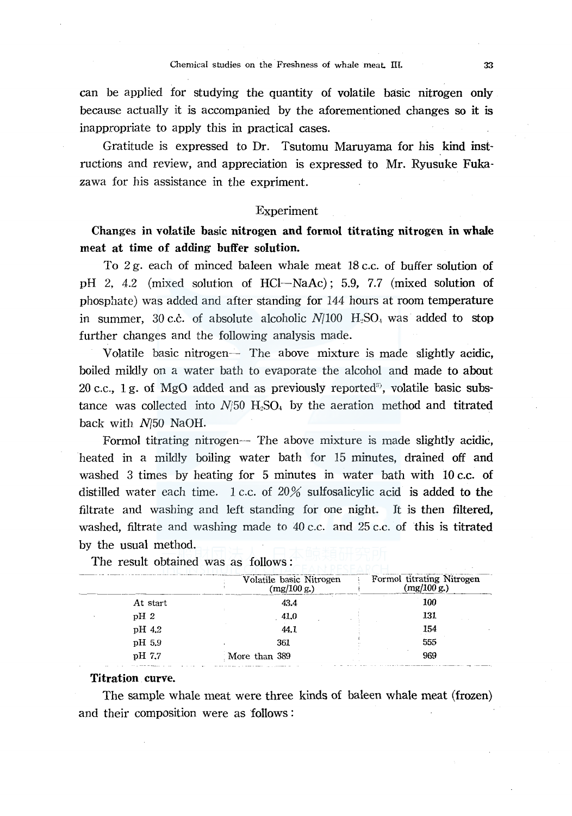can be applied for studying the quantity of volatile basic nitrogen only because actually it is accompanied by the aforementioned changes so it is inappropriate to apply this in practical cases.

Gratitude is expressed to Dr. Tsutomu Maruyama for his kind instructions and review, and appreciation is expressed to Mr. Ryusuke Fukazawa for his assistance in the expriment.

### Experiment

Changes in volatile basic nitrogen and formol titrating nitrogen in whale meat at time of adding buffer solution.

To 2 g. each of minced baleen whale meat 18 c.c. of buffer solution of pH 2, 4.2 (mixed solution of HCl-NaAc); 5.9, 7.7 (mixed solution of phosphate) was added and after standing for 144 hours at room temperature in summer, 30 c.c. of absolute alcoholic *N*/100 **H**.SO<sub>1</sub> was added to stop further changes and the following analysis made.

Volatile basic nitrogen- The above mixture is made slightly acidic, boiled mildly on a water bath to evaporate the alcohol and made to about 20 c.c., 1 g. of MgO added and as previously reported<sup>3)</sup>, volatile basic substance was collected into  $N/50$  H<sub>2</sub>SO<sub>4</sub> by the aeration method and titrated back with *N/50* NaOH.

Formol titrating nitrogen- The above mixture is made slightly acidic, heated in a mildly boiling water bath for 15 minutes, drained off and washed 3 times by heating for 5 minutes in water bath with 10 c.c. of distilled water each time. 1 c.c. of  $20\%$  sulfosalicylic acid is added to the filtrate and washing and left standing for one night. It is then filtered, washed, filtrate and washing made to 40 c.c. and 25 c.c. of this is titrated by the usual method.

|          | Volatile basic Nitrogen<br>(mg/100 g.) | Formol titrating Nitrogen<br>(mg/100 g.) |
|----------|----------------------------------------|------------------------------------------|
| At start | 43.4                                   | 100                                      |
| $pH_2$   | 41,0                                   | 131                                      |
| pH 4.2   | 44.1                                   | 154                                      |
| pH 5.9   | 361                                    | 555                                      |
| pH 7.7   | More than 389                          | 969                                      |

The result obtained was as follows :

## Titration curve.

The sample whale meat were three kinds of baleen whale meat (frozen) and their composition were as follows :